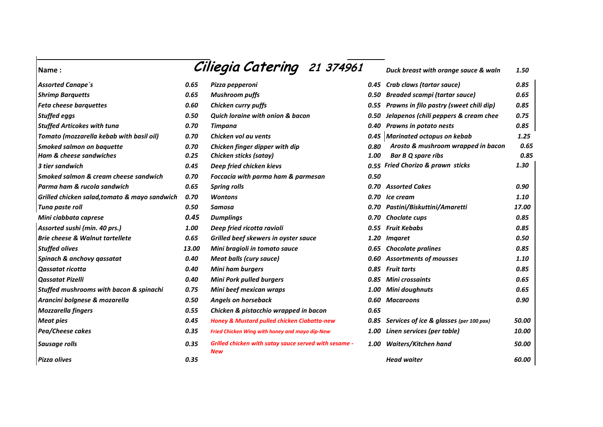|       |                                                              |      | Duck breast with orange sauce & waln                | 1.50                                                                                                                                                                                                                                                                                                                                  |
|-------|--------------------------------------------------------------|------|-----------------------------------------------------|---------------------------------------------------------------------------------------------------------------------------------------------------------------------------------------------------------------------------------------------------------------------------------------------------------------------------------------|
| 0.65  | Pizza pepperoni                                              | 0.45 | Crab claws (tartar sauce)                           | 0.85                                                                                                                                                                                                                                                                                                                                  |
| 0.65  | <b>Mushroom puffs</b>                                        |      | <b>Breaded scampi (tartar sauce)</b>                | 0.65                                                                                                                                                                                                                                                                                                                                  |
| 0.60  | Chicken curry puffs                                          |      |                                                     | 0.85                                                                                                                                                                                                                                                                                                                                  |
| 0.50  | <b>Quich loraine with onion &amp; bacon</b>                  |      | Jelapenos (chili peppers & cream chee               | 0.75                                                                                                                                                                                                                                                                                                                                  |
| 0.70  | <b>Timpana</b>                                               |      | Prawns in potato nests                              | 0.85                                                                                                                                                                                                                                                                                                                                  |
| 0.70  | Chicken vol au vents                                         |      |                                                     | 1.25                                                                                                                                                                                                                                                                                                                                  |
| 0.70  | Chicken finger dipper with dip                               | 0.80 | Arosto & mushroom wrapped in bacon                  | 0.65                                                                                                                                                                                                                                                                                                                                  |
| 0.25  | Chicken sticks (satay)                                       | 1.00 | <b>Bar B Q spare ribs</b>                           | 0.85                                                                                                                                                                                                                                                                                                                                  |
| 0.45  | Deep fried chicken kievs                                     |      |                                                     | 1.30                                                                                                                                                                                                                                                                                                                                  |
| 0.70  | Foccacia with parma ham & parmesan                           | 0.50 |                                                     |                                                                                                                                                                                                                                                                                                                                       |
| 0.65  | <b>Spring rolls</b>                                          |      |                                                     | 0.90                                                                                                                                                                                                                                                                                                                                  |
| 0.70  | <b>Wontons</b>                                               |      |                                                     | 1.10                                                                                                                                                                                                                                                                                                                                  |
| 0.50  | Samosa                                                       |      | Pastini/Biskuttini/Amaretti                         | 17.00                                                                                                                                                                                                                                                                                                                                 |
| 0.45  | <b>Dumplings</b>                                             |      | Choclate cups                                       | 0.85                                                                                                                                                                                                                                                                                                                                  |
| 1.00  | Deep fried ricotta ravioli                                   |      |                                                     | 0.85                                                                                                                                                                                                                                                                                                                                  |
| 0.65  | Grilled beef skewers in oyster sauce                         |      | <b>Imgaret</b>                                      | 0.50                                                                                                                                                                                                                                                                                                                                  |
| 13.00 | Mini bragioli in tomato sauce                                | 0.65 | <b>Chocolate pralines</b>                           | 0.85                                                                                                                                                                                                                                                                                                                                  |
| 0.40  | <b>Meat balls (cury sauce)</b>                               |      |                                                     | 1.10                                                                                                                                                                                                                                                                                                                                  |
| 0.40  | <b>Mini ham burgers</b>                                      |      |                                                     | 0.85                                                                                                                                                                                                                                                                                                                                  |
| 0.40  | <b>Mini Pork pulled burgers</b>                              |      |                                                     | 0.65                                                                                                                                                                                                                                                                                                                                  |
| 0.75  | Mini beef mexican wraps                                      |      | Mini doughnuts                                      | 0.65                                                                                                                                                                                                                                                                                                                                  |
| 0.50  | <b>Angels on horseback</b>                                   |      | <b>Macaroons</b>                                    | 0.90                                                                                                                                                                                                                                                                                                                                  |
| 0.55  | Chicken & pistacchio wrapped in bacon                        | 0.65 |                                                     |                                                                                                                                                                                                                                                                                                                                       |
| 0.45  | <b>Honey &amp; Mustard pulled chicken Ciabatta-new</b>       | 0.85 | Services of ice & glasses (per 100 pax)             | 50.00                                                                                                                                                                                                                                                                                                                                 |
| 0.35  | Fried Chicken Wing with honey and mayo dip-New               |      | Linen services (per table)                          | 10.00                                                                                                                                                                                                                                                                                                                                 |
| 0.35  | Grilled chicken with satay sauce served with sesame -<br>New |      | <b>Waiters/Kitchen hand</b>                         | 50.00                                                                                                                                                                                                                                                                                                                                 |
| 0.35  |                                                              |      | <b>Head waiter</b>                                  | 60.00                                                                                                                                                                                                                                                                                                                                 |
|       |                                                              |      | Ciliegia Catering 21 374961<br>0.40<br>0.85<br>0.85 | 0.50<br>0.55 Prawns in filo pastry (sweet chili dip)<br>0.50<br>0.45 Marinated octopus on kebab<br>0.55 Fried Chorizo & prawn sticks<br>0.70 Assorted Cakes<br>0.70 Ice cream<br>0.70<br>0.70<br>Fruit Kebabs<br>0.55<br>1.20<br>0.60 Assortments of mousses<br><b>Fruit tarts</b><br>Mini crossaints<br>1.00<br>0.60<br>1.00<br>1.00 |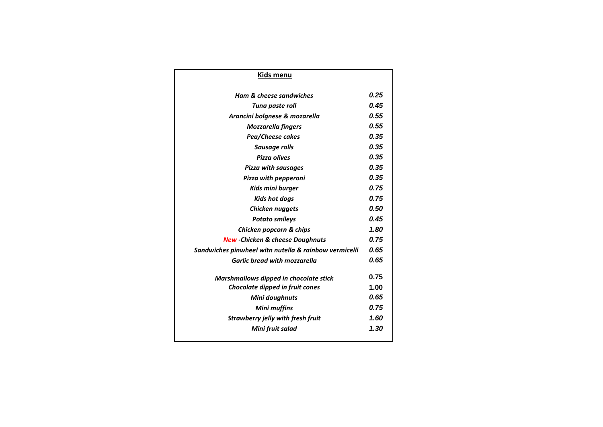| Kids menu                                             |      |
|-------------------------------------------------------|------|
| <b>Ham &amp; cheese sandwiches</b>                    | 0.25 |
| Tuna paste roll                                       | 0.45 |
| Arancini bolgnese & mozarella                         | 0.55 |
| <b>Mozzarella fingers</b>                             | 0.55 |
| Pea/Cheese cakes                                      | 0.35 |
| Sausage rolls                                         | 0.35 |
| <b>Pizza olives</b>                                   | 0.35 |
| Pizza with sausages                                   | 0.35 |
| Pizza with pepperoni                                  | 0.35 |
| Kids mini burger                                      | 0.75 |
| <b>Kids hot dogs</b>                                  | 0.75 |
| Chicken nuggets                                       | 0.50 |
| <b>Potato smileys</b>                                 | 0.45 |
| Chicken popcorn & chips                               | 1.80 |
| <b>New -Chicken &amp; cheese Doughnuts</b>            | 0.75 |
| Sandwiches pinwheel witn nutella & rainbow vermicelli | 0.65 |
| <b>Garlic bread with mozzarella</b>                   | 0.65 |
| Marshmallows dipped in chocolate stick                | 0.75 |
| Chocolate dipped in fruit cones                       | 1.00 |
| Mini doughnuts                                        | 0.65 |
| <b>Mini muffins</b>                                   | 0.75 |
| <b>Strawberry jelly with fresh fruit</b>              | 1.60 |
| Mini fruit salad                                      | 1.30 |
|                                                       |      |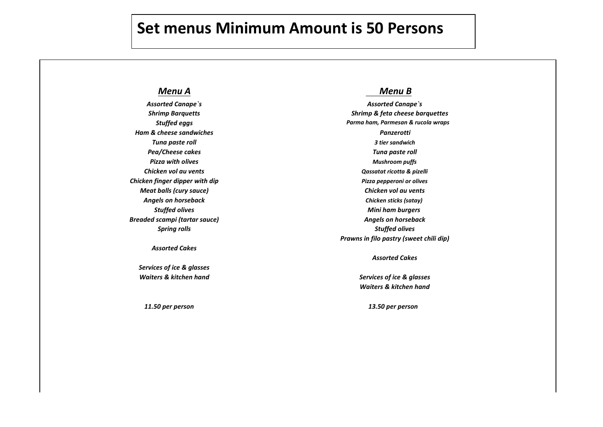## **Set menus Minimum Amount is 50 Persons**

## *Menu A Menu B*

*Ham & cheese sandwiches Panzerotti Pea/Cheese cakes Tuna paste roll Chicken finger dipper with dip Pizza pepperoni or olives Meat balls (cury sauce) Chicken vol au vents Angels on horseback Chicken sticks (satay) Breaded scampi (tartar sauce) Angels on horseback*

### *Assorted Cakes*

*Services of ice & glasses Waiters & kitchen hand Services of ice & glasses*

*Assorted Canape`s Assorted Canape`s Shrimp Barquetts Shrimp & feta cheese barquettes Stuffed eggs Parma ham, Parmesan & rucola wraps Tuna paste roll 3 tier sandwich Pizza with olives Mushroom puffs Chicken vol au vents Qassatat ricotta & pizelli Stuffed olives Mini ham burgers Spring rolls Stuffed olives Prawns in filo pastry (sweet chili dip)*

*Assorted Cakes*

*Waiters & kitchen hand*

 *11.50 per person 13.50 per person*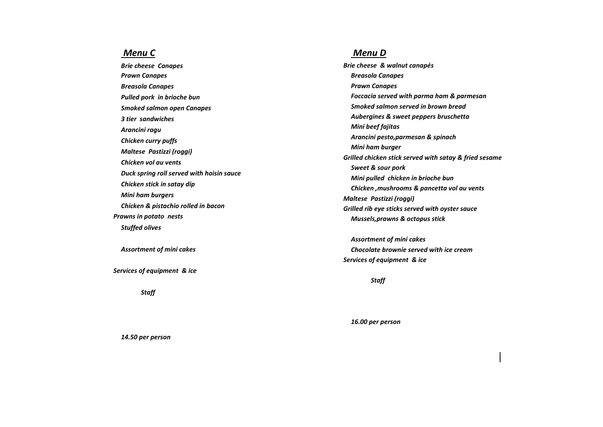**Smoked salmon open Canapes** *Maltese Pastizzi (roggi) Pizza pepperoni or or or olivesity <i>Pastizzi (roggi) Chicken vol au vents Chicken vol au vents Duck spring roll served with hoisin sauce Chicken & pistachio rolled in bacon Prawns in potato nests Prawns in filo pastry (sweet chili dip) Mussels,prawns & octopus stick Stuffed olives*

*Assortment of mini cakes*

**Services of equipment & ice** 

*Staff 12.00 per person*

### *Menu C Menu B Menu D Menu B*

*Brie cheese Canapes Assorted Canape`s Brie cheese & walnut canapés Assorted Canape`s Prawn Canapes Shrimp & feta cheese barquettes Breasola Canapes Shrimp & feta cheese barquettes Breasola Canapes Stuffed eggs* Pulled pork in brioche bun *tomato and the served with parma ham & parmesan Tomato (mozzarella kebab with parma ham & parmesan* Tomato (mozzarella kebab with parma ham & parmesan in the served with parma ham & parmesan in *3 tier sandwiches Tuna paste roll Aubergines & sweet peppers bruschetta Tuna paste roll Arancini ragu Mushroom puffs Chicken curry puffs Qassatat ricotta & pizelli Arancini pesto,parmesan & spinach Qassatat ricotta & pizelli Chicken stick in satay dip Mini ham burgers Chicken ,mushrooms & pancetta vol au vents Angels on horseback Mini ham burgers Angels on horseback Maltese Pastizzi (roggi) Stuffed olives Prawn Canapes Stuffed eggs Smoked salmon served in brown bread 3 tier sandwich Mini beef fajitas Mushroom puffs Mini ham burger Pizza pepperoni or olives Grilled chicken stick served with satay & fried sesame Sweet & sour pork Chicken sticks (satay) Mini pulled chicken in brioche bun Grilled rib eye sticks served with oyster sauce* 

> *Assortment of mini cakes* **Chocolate brownie served with ice cream Services of equipment & ice**

> > *Staff 12.00 per person*

*16.00 per person*

*14.50 per person*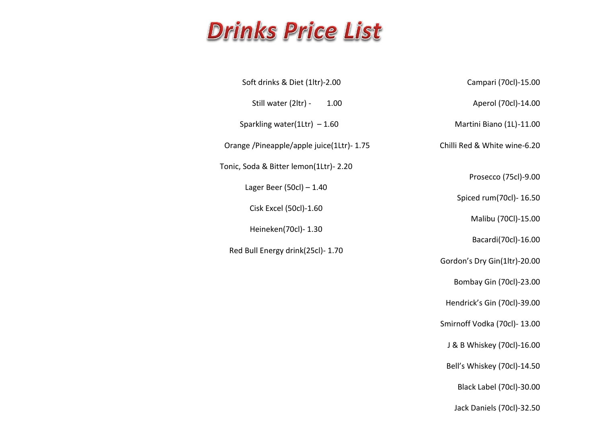# **Drinks Price List**

| Campari (70cl)-15.00         | Soft drinks & Diet (1ltr)-2.00           |
|------------------------------|------------------------------------------|
| Aperol (70cl)-14.00          | Still water (2ltr) -<br>1.00             |
| Martini Biano (1L)-11.00     | Sparkling water(1Ltr) $-1.60$            |
| Chilli Red & White wine-6.20 | Orange /Pineapple/apple juice(1Ltr)-1.75 |
|                              | Tonic, Soda & Bitter lemon(1Ltr)- 2.20   |
| Prosecco (75cl)-9.00         | Lager Beer $(50c)$ - 1.40                |
| Spiced rum(70cl)- 16.50      | Cisk Excel (50cl)-1.60                   |
| Malibu (70Cl)-15.00          |                                          |
| Bacardi(70cl)-16.00          | Heineken(70cl)- 1.30                     |

Gordon's Dry Gin(1ltr)-20.00

Bombay Gin (70cl)-23.00

Hendrick's Gin (70cl)-39.00

Smirnoff Vodka (70cl)- 13.00

J & B Whiskey (70cl)-16.00

Bell's Whiskey (70cl)-14.50

Black Label (70cl)-30.00

Jack Daniels (70cl)-32.50

Red Bull Energy drink(25cl)- 1.70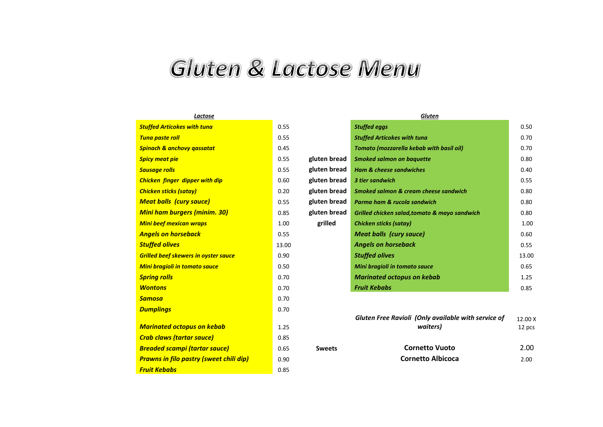## Gluten & Lactose Menu

| <u>LUCLUSC</u>                                 |       |
|------------------------------------------------|-------|
| <b>Stuffed Articokes with tuna</b>             | 0.55  |
| <b>Tuna paste roll</b>                         | 0.55  |
| <b>Spinach &amp; anchovy qassatat</b>          | 0.45  |
| <b>Spicy meat pie</b>                          | 0.55  |
| <b>Sausage rolls</b>                           | 0.55  |
| <b>Chicken finger dipper with dip</b>          | 0.60  |
| <b>Chicken sticks (satay)</b>                  | 0.20  |
| <b>Meat balls (cury sauce)</b>                 | 0.55  |
| <b>Mini ham burgers (minim. 30)</b>            | 0.85  |
| <b>Mini beef mexican wraps</b>                 | 1.00  |
| <b>Angels on horseback</b>                     | 0.55  |
| <b>Stuffed olives</b>                          | 13.00 |
| <b>Grilled beef skewers in oyster sauce</b>    | 0.90  |
| <b>Mini bragioli in tomato sauce</b>           | 0.50  |
| <b>Spring rolls</b>                            | 0.70  |
| <b>Wontons</b>                                 | 0.70  |
| Samosa                                         | 0.70  |
| <b>Dumplings</b>                               | 0.70  |
|                                                | 1.25  |
| <u>Marinated octopus on kebab</u>              |       |
| <b>Crab claws (tartar sauce)</b>               | 0.85  |
| <b>Breaded scampi (tartar sauce)</b>           | 0.65  |
| <b>Prawns in filo pastry (sweet chili dip)</b> | 0.90  |
| <b>Fruit Kebabs</b>                            | 0.85  |
|                                                |       |

| Lactose                              |       | <b>Gluten</b> |                                               |       |
|--------------------------------------|-------|---------------|-----------------------------------------------|-------|
| Stuffed Articokes with tuna          | 0.55  |               | <b>Stuffed eggs</b>                           | 0.50  |
| <mark>Tuna paste roll_</mark>        | 0.55  |               | <b>Stuffed Articokes with tuna</b>            | 0.70  |
| Spinach & anchovy gassatat           | 0.45  |               | Tomato (mozzarella kebab with basil oil)      | 0.70  |
| <mark>Spicy meat pie</mark>          | 0.55  | gluten bread  | <b>Smoked salmon on baquette</b>              | 0.80  |
| Sausage rolls                        | 0.55  | gluten bread  | <b>Ham &amp; cheese sandwiches</b>            | 0.40  |
| Chicken finger dipper with dip       | 0.60  | gluten bread  | 3 tier sandwich                               | 0.55  |
| Chicken sticks (satay)               | 0.20  | gluten bread  | Smoked salmon & cream cheese sandwich         | 0.80  |
| <mark>Meat balls(cury sauce)</mark>  | 0.55  | gluten bread  | Parma ham & rucola sandwich                   | 0.80  |
| <u>Mini ham burgers (minim. 30)</u>  | 0.85  | gluten bread  | Grilled chicken salad, tomato & mayo sandwich | 0.80  |
| <u>Mini beef mexican wraps </u>      | 1.00  | grilled       | <b>Chicken sticks (satay)</b>                 | 1.00  |
| <mark>Angels on horseback</mark>     | 0.55  |               | <b>Meat balls (cury sauce)</b>                | 0.60  |
| Stuffed olives                       | 13.00 |               | <b>Angels on horseback</b>                    | 0.55  |
| Grilled beef skewers in oyster sauce | 0.90  |               | <b>Stuffed olives</b>                         | 13.00 |
| Mini bragioli in tomato sauce        | 0.50  |               | Mini bragioli in tomato sauce                 | 0.65  |
| <u>Spring rolls</u>                  | 0.70  |               | <b>Marinated octopus on kebab</b>             | 1.25  |
| <b>Wontons</b>                       | 0.70  |               | <b>Fruit Kebabs</b>                           | 0.85  |

|                                                      |      |               | <b>Gluten Free Ravioli (Only available with service of</b> | 12.00 X |
|------------------------------------------------------|------|---------------|------------------------------------------------------------|---------|
| Marinated octopus on kebab                           | 1.25 |               | waiters)                                                   | 12 pcs  |
| <mark>Crab claws (tartar sauce)</mark>               | 0.85 |               |                                                            |         |
| <mark>Breaded scampi (tartar sauce)</mark>           | 0.65 | <b>Sweets</b> | <b>Cornetto Vuoto</b>                                      | 2.00    |
| <mark>Prawns in filo pastry (sweet chili dip)</mark> | 0.90 |               | <b>Cornetto Albicoca</b>                                   | 2.00    |